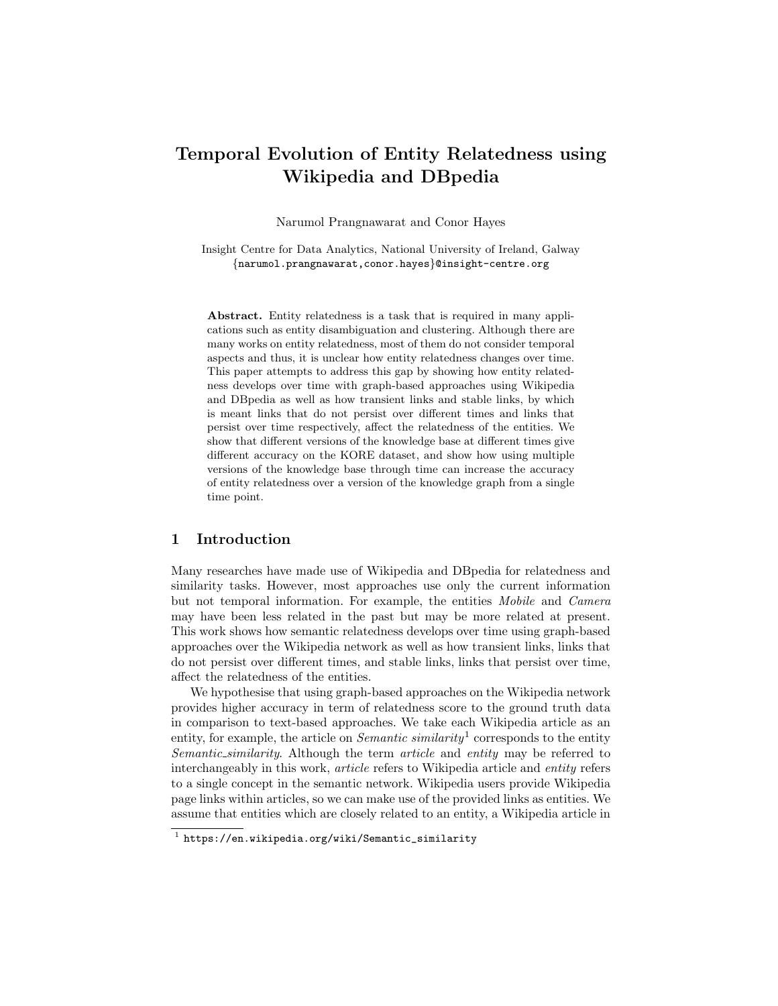# Temporal Evolution of Entity Relatedness using Wikipedia and DBpedia

Narumol Prangnawarat and Conor Hayes

Insight Centre for Data Analytics, National University of Ireland, Galway {narumol.prangnawarat,conor.hayes}@insight-centre.org

Abstract. Entity relatedness is a task that is required in many applications such as entity disambiguation and clustering. Although there are many works on entity relatedness, most of them do not consider temporal aspects and thus, it is unclear how entity relatedness changes over time. This paper attempts to address this gap by showing how entity relatedness develops over time with graph-based approaches using Wikipedia and DBpedia as well as how transient links and stable links, by which is meant links that do not persist over different times and links that persist over time respectively, affect the relatedness of the entities. We show that different versions of the knowledge base at different times give different accuracy on the KORE dataset, and show how using multiple versions of the knowledge base through time can increase the accuracy of entity relatedness over a version of the knowledge graph from a single time point.

# 1 Introduction

Many researches have made use of Wikipedia and DBpedia for relatedness and similarity tasks. However, most approaches use only the current information but not temporal information. For example, the entities Mobile and Camera may have been less related in the past but may be more related at present. This work shows how semantic relatedness develops over time using graph-based approaches over the Wikipedia network as well as how transient links, links that do not persist over different times, and stable links, links that persist over time, affect the relatedness of the entities.

We hypothesise that using graph-based approaches on the Wikipedia network provides higher accuracy in term of relatedness score to the ground truth data in comparison to text-based approaches. We take each Wikipedia article as an entity, for example, the article on *Semantic similarity*<sup>1</sup> corresponds to the entity Semantic\_similarity. Although the term article and entity may be referred to interchangeably in this work, article refers to Wikipedia article and entity refers to a single concept in the semantic network. Wikipedia users provide Wikipedia page links within articles, so we can make use of the provided links as entities. We assume that entities which are closely related to an entity, a Wikipedia article in

<sup>1</sup> https://en.wikipedia.org/wiki/Semantic\_similarity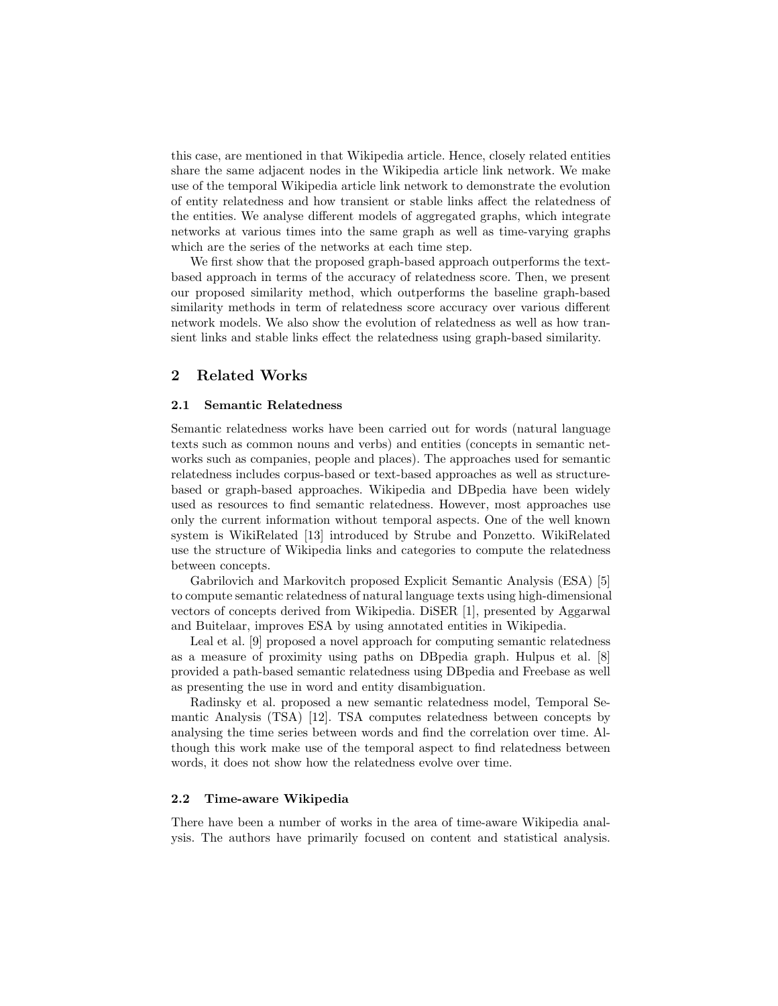this case, are mentioned in that Wikipedia article. Hence, closely related entities share the same adjacent nodes in the Wikipedia article link network. We make use of the temporal Wikipedia article link network to demonstrate the evolution of entity relatedness and how transient or stable links affect the relatedness of the entities. We analyse different models of aggregated graphs, which integrate networks at various times into the same graph as well as time-varying graphs which are the series of the networks at each time step.

We first show that the proposed graph-based approach outperforms the textbased approach in terms of the accuracy of relatedness score. Then, we present our proposed similarity method, which outperforms the baseline graph-based similarity methods in term of relatedness score accuracy over various different network models. We also show the evolution of relatedness as well as how transient links and stable links effect the relatedness using graph-based similarity.

# 2 Related Works

## 2.1 Semantic Relatedness

Semantic relatedness works have been carried out for words (natural language texts such as common nouns and verbs) and entities (concepts in semantic networks such as companies, people and places). The approaches used for semantic relatedness includes corpus-based or text-based approaches as well as structurebased or graph-based approaches. Wikipedia and DBpedia have been widely used as resources to find semantic relatedness. However, most approaches use only the current information without temporal aspects. One of the well known system is WikiRelated [13] introduced by Strube and Ponzetto. WikiRelated use the structure of Wikipedia links and categories to compute the relatedness between concepts.

Gabrilovich and Markovitch proposed Explicit Semantic Analysis (ESA) [5] to compute semantic relatedness of natural language texts using high-dimensional vectors of concepts derived from Wikipedia. DiSER [1], presented by Aggarwal and Buitelaar, improves ESA by using annotated entities in Wikipedia.

Leal et al. [9] proposed a novel approach for computing semantic relatedness as a measure of proximity using paths on DBpedia graph. Hulpus et al. [8] provided a path-based semantic relatedness using DBpedia and Freebase as well as presenting the use in word and entity disambiguation.

Radinsky et al. proposed a new semantic relatedness model, Temporal Semantic Analysis (TSA) [12]. TSA computes relatedness between concepts by analysing the time series between words and find the correlation over time. Although this work make use of the temporal aspect to find relatedness between words, it does not show how the relatedness evolve over time.

#### 2.2 Time-aware Wikipedia

There have been a number of works in the area of time-aware Wikipedia analysis. The authors have primarily focused on content and statistical analysis.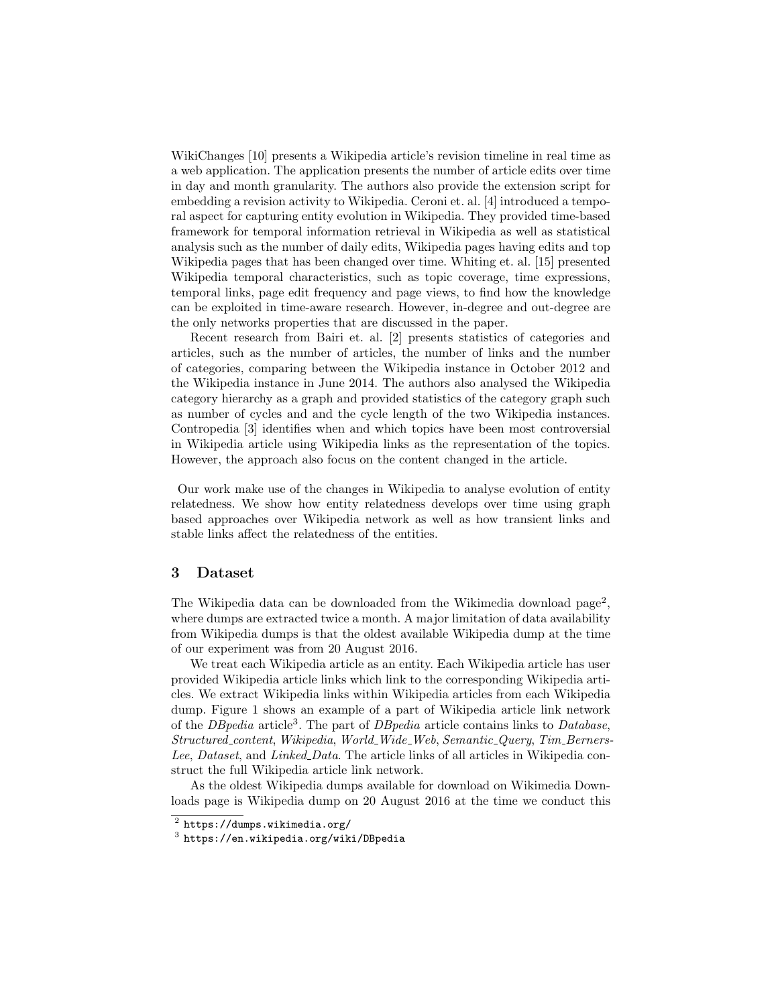WikiChanges [10] presents a Wikipedia article's revision timeline in real time as a web application. The application presents the number of article edits over time in day and month granularity. The authors also provide the extension script for embedding a revision activity to Wikipedia. Ceroni et. al. [4] introduced a temporal aspect for capturing entity evolution in Wikipedia. They provided time-based framework for temporal information retrieval in Wikipedia as well as statistical analysis such as the number of daily edits, Wikipedia pages having edits and top Wikipedia pages that has been changed over time. Whiting et. al. [15] presented Wikipedia temporal characteristics, such as topic coverage, time expressions, temporal links, page edit frequency and page views, to find how the knowledge can be exploited in time-aware research. However, in-degree and out-degree are the only networks properties that are discussed in the paper.

Recent research from Bairi et. al. [2] presents statistics of categories and articles, such as the number of articles, the number of links and the number of categories, comparing between the Wikipedia instance in October 2012 and the Wikipedia instance in June 2014. The authors also analysed the Wikipedia category hierarchy as a graph and provided statistics of the category graph such as number of cycles and and the cycle length of the two Wikipedia instances. Contropedia [3] identifies when and which topics have been most controversial in Wikipedia article using Wikipedia links as the representation of the topics. However, the approach also focus on the content changed in the article.

Our work make use of the changes in Wikipedia to analyse evolution of entity relatedness. We show how entity relatedness develops over time using graph based approaches over Wikipedia network as well as how transient links and stable links affect the relatedness of the entities.

# 3 Dataset

The Wikipedia data can be downloaded from the Wikimedia download page<sup>2</sup>, where dumps are extracted twice a month. A major limitation of data availability from Wikipedia dumps is that the oldest available Wikipedia dump at the time of our experiment was from 20 August 2016.

We treat each Wikipedia article as an entity. Each Wikipedia article has user provided Wikipedia article links which link to the corresponding Wikipedia articles. We extract Wikipedia links within Wikipedia articles from each Wikipedia dump. Figure 1 shows an example of a part of Wikipedia article link network of the *DB pedia* article<sup>3</sup>. The part of *DB pedia* article contains links to *Database*, Structured content, Wikipedia, World Wide Web, Semantic Query, Tim Berners-Lee, Dataset, and Linked\_Data. The article links of all articles in Wikipedia construct the full Wikipedia article link network.

As the oldest Wikipedia dumps available for download on Wikimedia Downloads page is Wikipedia dump on 20 August 2016 at the time we conduct this

 $^2$  https://dumps.wikimedia.org/

 $^3$  https://en.wikipedia.org/wiki/DBpedia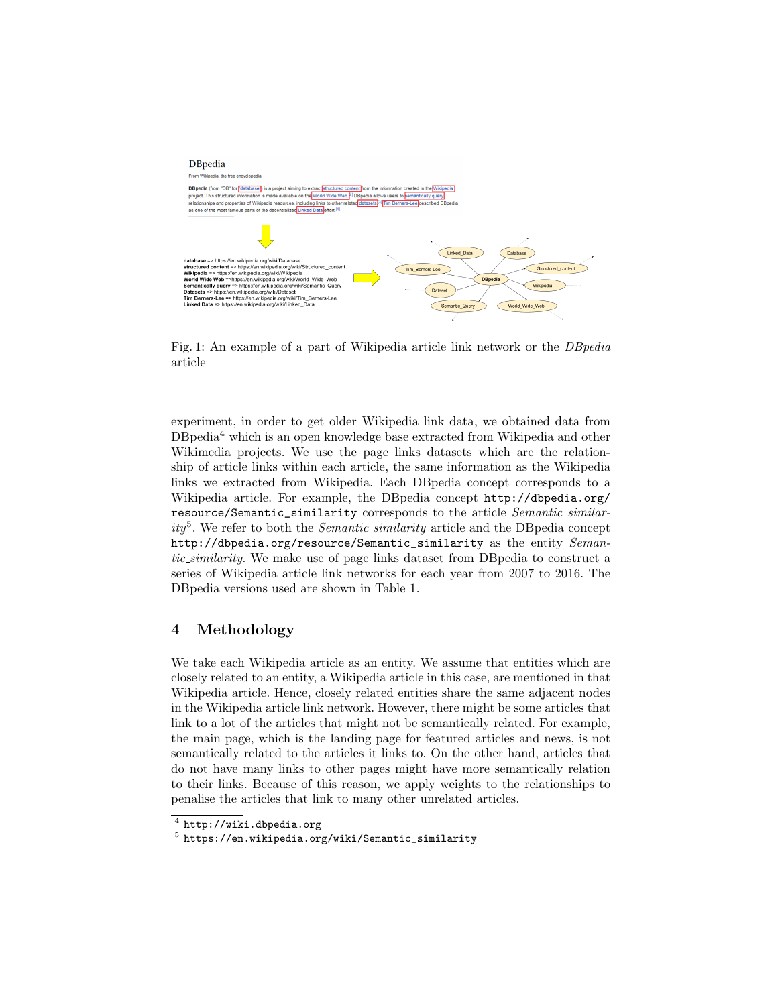

Fig. 1: An example of a part of Wikipedia article link network or the DBpedia article

experiment, in order to get older Wikipedia link data, we obtained data from DBpedia<sup>4</sup> which is an open knowledge base extracted from Wikipedia and other Wikimedia projects. We use the page links datasets which are the relationship of article links within each article, the same information as the Wikipedia links we extracted from Wikipedia. Each DBpedia concept corresponds to a Wikipedia article. For example, the DBpedia concept http://dbpedia.org/ resource/Semantic\_similarity corresponds to the article Semantic similar $ity<sup>5</sup>$ . We refer to both the *Semantic similarity* article and the DB pedia concept http://dbpedia.org/resource/Semantic\_similarity as the entity Semantic similarity. We make use of page links dataset from DBpedia to construct a series of Wikipedia article link networks for each year from 2007 to 2016. The DBpedia versions used are shown in Table 1.

# 4 Methodology

We take each Wikipedia article as an entity. We assume that entities which are closely related to an entity, a Wikipedia article in this case, are mentioned in that Wikipedia article. Hence, closely related entities share the same adjacent nodes in the Wikipedia article link network. However, there might be some articles that link to a lot of the articles that might not be semantically related. For example, the main page, which is the landing page for featured articles and news, is not semantically related to the articles it links to. On the other hand, articles that do not have many links to other pages might have more semantically relation to their links. Because of this reason, we apply weights to the relationships to penalise the articles that link to many other unrelated articles.

 $^4$  http://wiki.dbpedia.org

 $^5$  https://en.wikipedia.org/wiki/Semantic\_similarity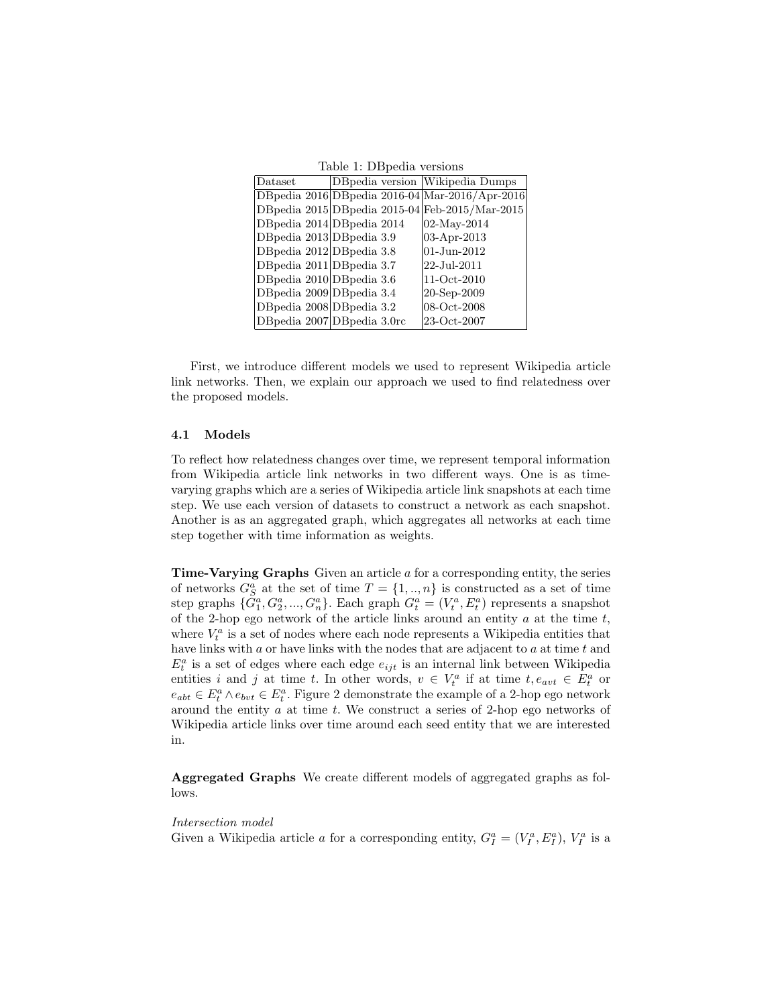Table 1: DBpedia versions

| $\text{Dataset}$           |                            | DB pedia version Wikipedia Dumps                 |
|----------------------------|----------------------------|--------------------------------------------------|
|                            |                            | DBpedia 2016 DBpedia 2016-04 Mar-2016/Apr-2016   |
|                            |                            | DBpedia 2015 DBpedia 2015-04 Feb-2015 / Mar-2015 |
| DBpedia 2014 DBpedia 2014  |                            | 02-May-2014                                      |
| DB pedia 2013 DB pedia 3.9 |                            | 03-Apr-2013                                      |
| DB pedia 2012 DB pedia 3.8 |                            | $01 - Jun-2012$                                  |
| DBpedia 2011 DBpedia 3.7   |                            | 22-Jul-2011                                      |
| DBpedia 2010 DBpedia 3.6   |                            | $11-Oct-2010$                                    |
| DB pedia 2009 DB pedia 3.4 |                            | 20-Sep-2009                                      |
| DB pedia 2008 DB pedia 3.2 |                            | 08-Oct-2008                                      |
|                            | DBpedia 2007 DBpedia 3.0rc | 23-Oct-2007                                      |

First, we introduce different models we used to represent Wikipedia article link networks. Then, we explain our approach we used to find relatedness over the proposed models.

#### 4.1 Models

To reflect how relatedness changes over time, we represent temporal information from Wikipedia article link networks in two different ways. One is as timevarying graphs which are a series of Wikipedia article link snapshots at each time step. We use each version of datasets to construct a network as each snapshot. Another is as an aggregated graph, which aggregates all networks at each time step together with time information as weights.

**Time-Varying Graphs** Given an article  $a$  for a corresponding entity, the series of networks  $G_S^a$  at the set of time  $T = \{1, ..., n\}$  is constructed as a set of time step graphs  $\{\hat{G}_1^a, G_2^a, ..., \hat{G}_n^a\}$ . Each graph  $G_t^a = (V_t^a, E_t^a)$  represents a snapshot of the 2-hop ego network of the article links around an entity  $a$  at the time  $t$ , where  $V_t^a$  is a set of nodes where each node represents a Wikipedia entities that have links with  $a$  or have links with the nodes that are adjacent to  $a$  at time  $t$  and  $E_t^a$  is a set of edges where each edge  $e_{ijt}$  is an internal link between Wikipedia entities i and j at time t. In other words,  $v \in V_t^a$  if at time  $t, e_{avt} \in E_t^a$  or  $e_{abt} \in E_t^a \wedge e_{bvt} \in E_t^a$ . Figure 2 demonstrate the example of a 2-hop ego network around the entity  $a$  at time  $t$ . We construct a series of 2-hop ego networks of Wikipedia article links over time around each seed entity that we are interested in.

Aggregated Graphs We create different models of aggregated graphs as follows.

## Intersection model

Given a Wikipedia article a for a corresponding entity,  $G_I^a = (V_I^a, E_I^a)$ ,  $V_I^a$  is a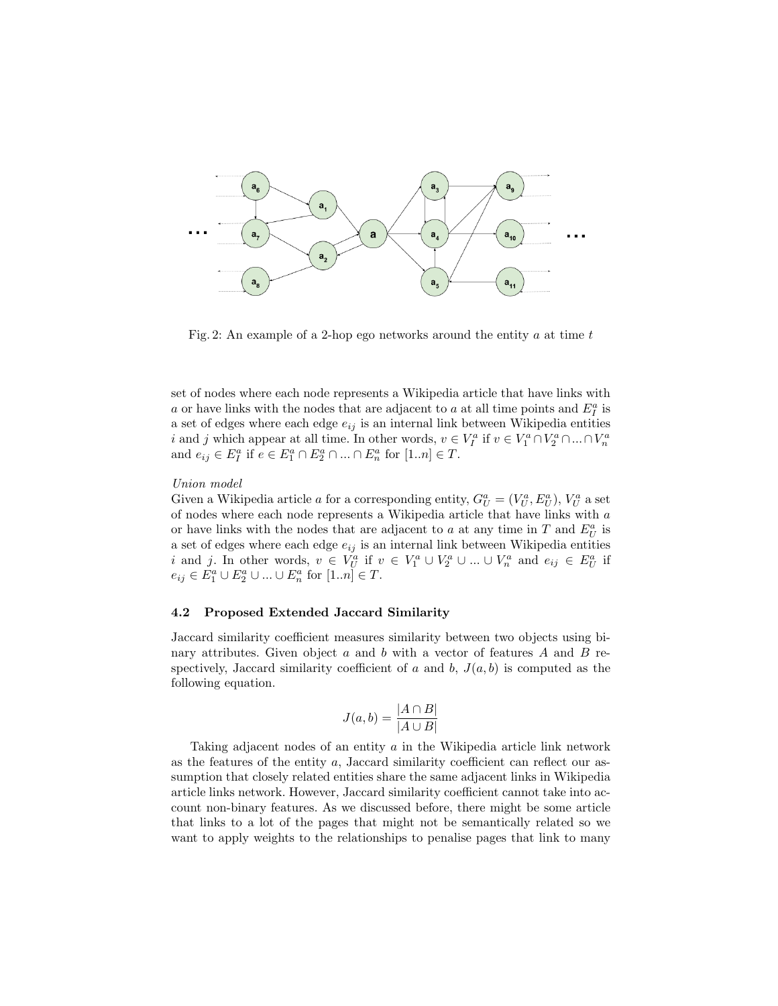

Fig. 2: An example of a 2-hop ego networks around the entity  $a$  at time  $t$ 

set of nodes where each node represents a Wikipedia article that have links with a or have links with the nodes that are adjacent to a at all time points and  $E_I^a$  is a set of edges where each edge  $e_{ij}$  is an internal link between Wikipedia entities *i* and *j* which appear at all time. In other words,  $v \in V_I^a$  if  $v \in V_1^a \cap V_2^a \cap ... \cap V_n^a$ and  $e_{ij} \in E_I^a$  if  $e \in E_1^a \cap E_2^a \cap \dots \cap E_n^a$  for  $[1..n] \in T$ .

#### Union model

Given a Wikipedia article *a* for a corresponding entity,  $G_U^a = (V_U^a, E_U^a)$ ,  $V_U^a$  a set of nodes where each node represents a Wikipedia article that have links with a or have links with the nodes that are adjacent to a at any time in T and  $E_U^a$  is a set of edges where each edge  $e_{ij}$  is an internal link between Wikipedia entities i and j. In other words,  $v \in V_U^a$  if  $v \in V_1^a \cup V_2^a \cup ... \cup V_n^a$  and  $e_{ij} \in E_U^a$  if  $e_{ij} \in E_1^a \cup E_2^a \cup ... \cup E_n^a$  for  $[1..n] \in T$ .

### 4.2 Proposed Extended Jaccard Similarity

Jaccard similarity coefficient measures similarity between two objects using binary attributes. Given object a and b with a vector of features  $A$  and  $B$  respectively, Jaccard similarity coefficient of a and b,  $J(a, b)$  is computed as the following equation.

$$
J(a,b) = \frac{|A \cap B|}{|A \cup B|}
$$

Taking adjacent nodes of an entity a in the Wikipedia article link network as the features of the entity a, Jaccard similarity coefficient can reflect our assumption that closely related entities share the same adjacent links in Wikipedia article links network. However, Jaccard similarity coefficient cannot take into account non-binary features. As we discussed before, there might be some article that links to a lot of the pages that might not be semantically related so we want to apply weights to the relationships to penalise pages that link to many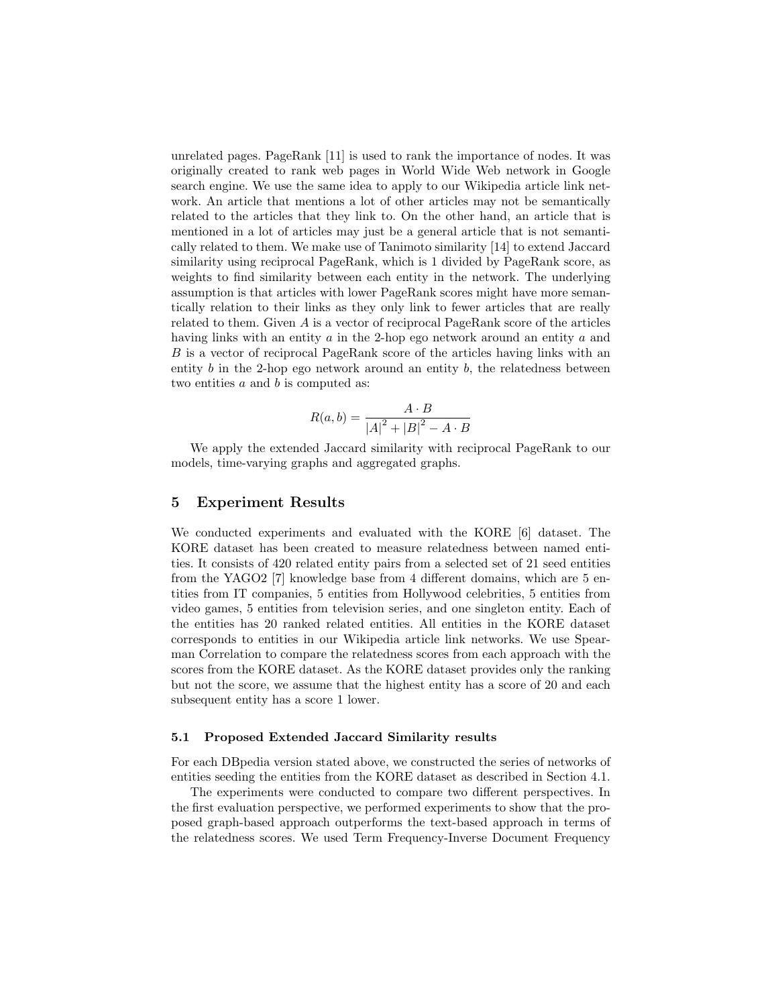unrelated pages. PageRank [11] is used to rank the importance of nodes. It was originally created to rank web pages in World Wide Web network in Google search engine. We use the same idea to apply to our Wikipedia article link network. An article that mentions a lot of other articles may not be semantically related to the articles that they link to. On the other hand, an article that is mentioned in a lot of articles may just be a general article that is not semantically related to them. We make use of Tanimoto similarity [14] to extend Jaccard similarity using reciprocal PageRank, which is 1 divided by PageRank score, as weights to find similarity between each entity in the network. The underlying assumption is that articles with lower PageRank scores might have more semantically relation to their links as they only link to fewer articles that are really related to them. Given A is a vector of reciprocal PageRank score of the articles having links with an entity a in the 2-hop ego network around an entity a and B is a vector of reciprocal PageRank score of the articles having links with an entity  $b$  in the 2-hop ego network around an entity  $b$ , the relatedness between two entities  $a$  and  $b$  is computed as:

$$
R(a, b) = \frac{A \cdot B}{|A|^2 + |B|^2 - A \cdot B}
$$

We apply the extended Jaccard similarity with reciprocal PageRank to our models, time-varying graphs and aggregated graphs.

# 5 Experiment Results

We conducted experiments and evaluated with the KORE [6] dataset. The KORE dataset has been created to measure relatedness between named entities. It consists of 420 related entity pairs from a selected set of 21 seed entities from the YAGO2 [7] knowledge base from 4 different domains, which are 5 entities from IT companies, 5 entities from Hollywood celebrities, 5 entities from video games, 5 entities from television series, and one singleton entity. Each of the entities has 20 ranked related entities. All entities in the KORE dataset corresponds to entities in our Wikipedia article link networks. We use Spearman Correlation to compare the relatedness scores from each approach with the scores from the KORE dataset. As the KORE dataset provides only the ranking but not the score, we assume that the highest entity has a score of 20 and each subsequent entity has a score 1 lower.

#### 5.1 Proposed Extended Jaccard Similarity results

For each DBpedia version stated above, we constructed the series of networks of entities seeding the entities from the KORE dataset as described in Section 4.1.

The experiments were conducted to compare two different perspectives. In the first evaluation perspective, we performed experiments to show that the proposed graph-based approach outperforms the text-based approach in terms of the relatedness scores. We used Term Frequency-Inverse Document Frequency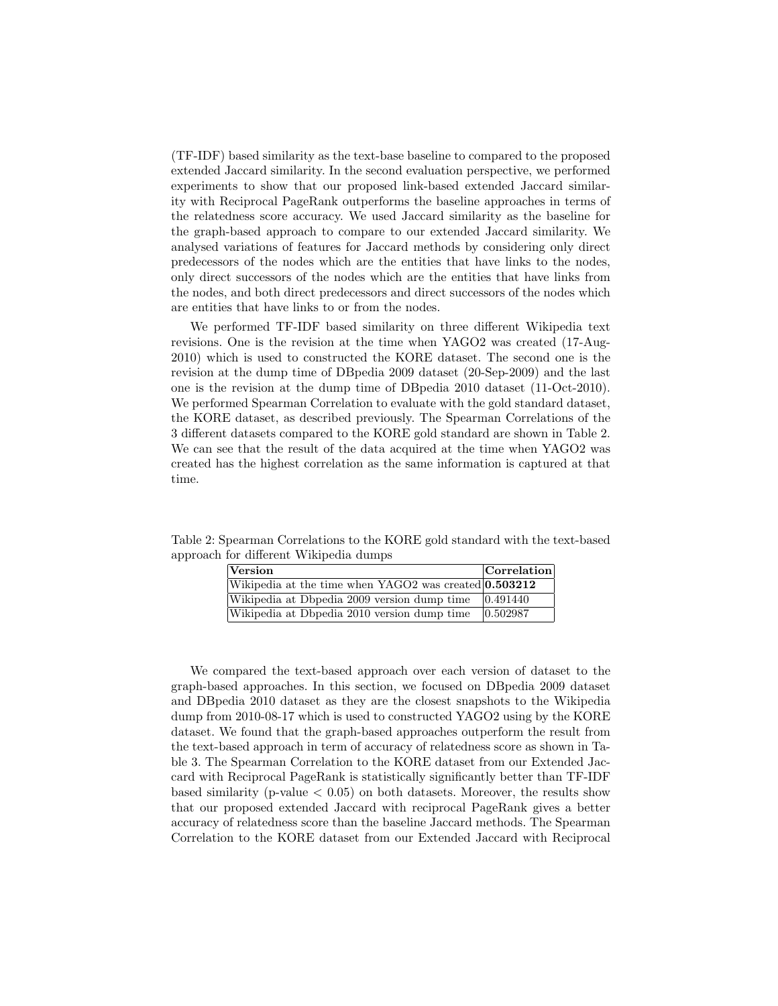(TF-IDF) based similarity as the text-base baseline to compared to the proposed extended Jaccard similarity. In the second evaluation perspective, we performed experiments to show that our proposed link-based extended Jaccard similarity with Reciprocal PageRank outperforms the baseline approaches in terms of the relatedness score accuracy. We used Jaccard similarity as the baseline for the graph-based approach to compare to our extended Jaccard similarity. We analysed variations of features for Jaccard methods by considering only direct predecessors of the nodes which are the entities that have links to the nodes, only direct successors of the nodes which are the entities that have links from the nodes, and both direct predecessors and direct successors of the nodes which are entities that have links to or from the nodes.

We performed TF-IDF based similarity on three different Wikipedia text revisions. One is the revision at the time when YAGO2 was created (17-Aug-2010) which is used to constructed the KORE dataset. The second one is the revision at the dump time of DBpedia 2009 dataset (20-Sep-2009) and the last one is the revision at the dump time of DBpedia 2010 dataset (11-Oct-2010). We performed Spearman Correlation to evaluate with the gold standard dataset, the KORE dataset, as described previously. The Spearman Correlations of the 3 different datasets compared to the KORE gold standard are shown in Table 2. We can see that the result of the data acquired at the time when YAGO2 was created has the highest correlation as the same information is captured at that time.

Table 2: Spearman Correlations to the KORE gold standard with the text-based approach for different Wikipedia dumps

| <i><u>Nersion</u></i>                                   | Correlation |
|---------------------------------------------------------|-------------|
| Wikipedia at the time when YAGO2 was created $0.503212$ |             |
| Wikipedia at Dbpedia 2009 version dump time             | 0.491440    |
| Wikipedia at Dbpedia 2010 version dump time             | 0.502987    |

We compared the text-based approach over each version of dataset to the graph-based approaches. In this section, we focused on DBpedia 2009 dataset and DBpedia 2010 dataset as they are the closest snapshots to the Wikipedia dump from 2010-08-17 which is used to constructed YAGO2 using by the KORE dataset. We found that the graph-based approaches outperform the result from the text-based approach in term of accuracy of relatedness score as shown in Table 3. The Spearman Correlation to the KORE dataset from our Extended Jaccard with Reciprocal PageRank is statistically significantly better than TF-IDF based similarity (p-value  $\lt$  0.05) on both datasets. Moreover, the results show that our proposed extended Jaccard with reciprocal PageRank gives a better accuracy of relatedness score than the baseline Jaccard methods. The Spearman Correlation to the KORE dataset from our Extended Jaccard with Reciprocal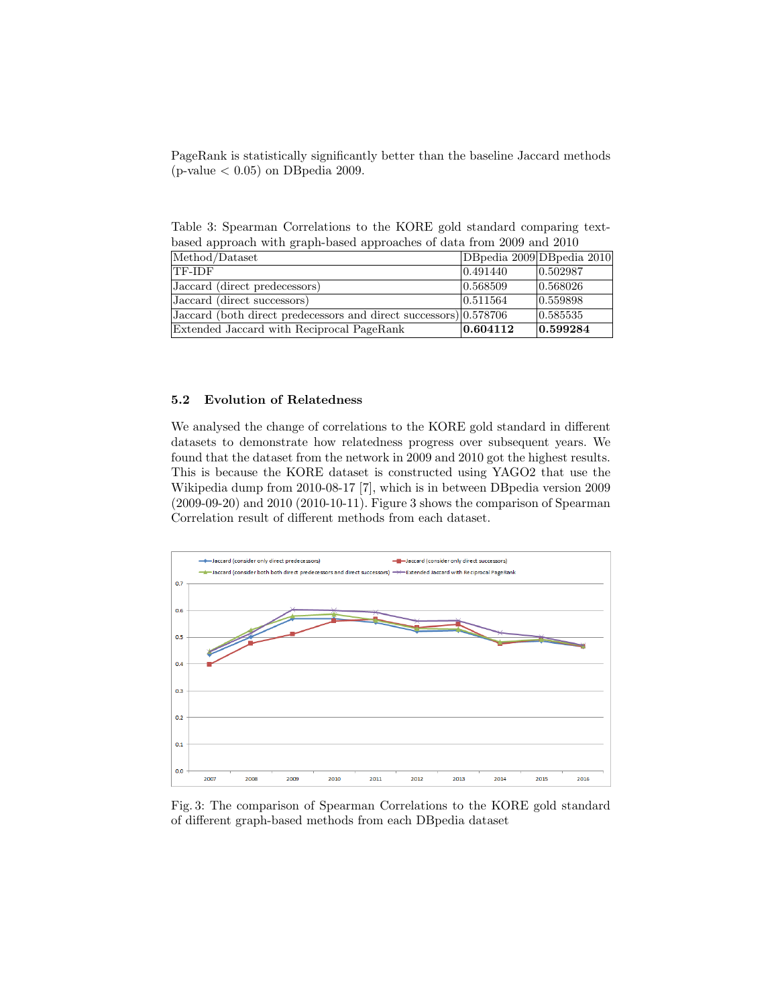PageRank is statistically significantly better than the baseline Jaccard methods  $(p$ -value  $< 0.05)$  on DB pedia 2009.

Table 3: Spearman Correlations to the KORE gold standard comparing textbased approach with graph-based approaches of data from 2009 and 2010

| Method/Dataset                                                    |          | DBpedia 2009 DBpedia 2010 |
|-------------------------------------------------------------------|----------|---------------------------|
| $ TF-IDF$                                                         | 0.491440 | 0.502987                  |
| Jaccard (direct predecessors)                                     | 0.568509 | 0.568026                  |
| Jaccard (direct successors)                                       | 0.511564 | 0.559898                  |
| Jaccard (both direct predecessors and direct successors) 0.578706 |          | 0.585535                  |
| Extended Jaccard with Reciprocal PageRank                         | 0.604112 | 0.599284                  |

# 5.2 Evolution of Relatedness

We analysed the change of correlations to the KORE gold standard in different datasets to demonstrate how relatedness progress over subsequent years. We found that the dataset from the network in 2009 and 2010 got the highest results. This is because the KORE dataset is constructed using YAGO2 that use the Wikipedia dump from 2010-08-17 [7], which is in between DBpedia version 2009 (2009-09-20) and 2010 (2010-10-11). Figure 3 shows the comparison of Spearman Correlation result of different methods from each dataset.



Fig. 3: The comparison of Spearman Correlations to the KORE gold standard of different graph-based methods from each DBpedia dataset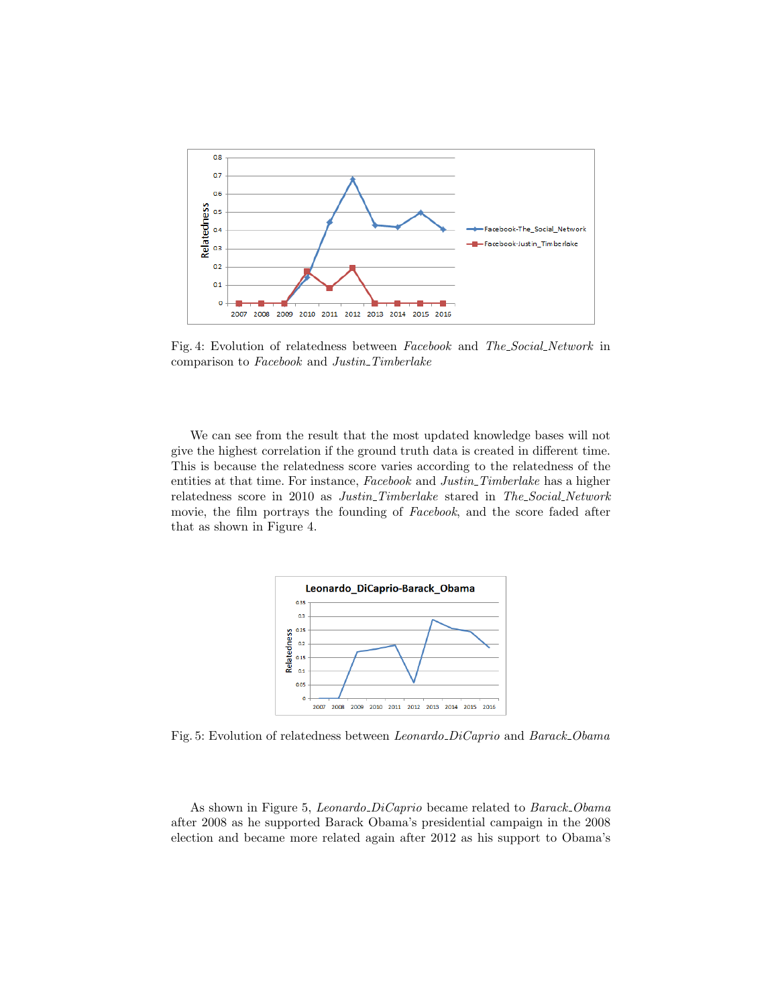

Fig. 4: Evolution of relatedness between Facebook and The Social Network in comparison to Facebook and Justin\_Timberlake

We can see from the result that the most updated knowledge bases will not give the highest correlation if the ground truth data is created in different time. This is because the relatedness score varies according to the relatedness of the entities at that time. For instance, Facebook and Justin\_Timberlake has a higher relatedness score in 2010 as Justin\_Timberlake stared in The\_Social\_Network movie, the film portrays the founding of Facebook, and the score faded after that as shown in Figure 4.



Fig. 5: Evolution of relatedness between *Leonardo\_DiCaprio* and *Barack\_Obama* 

As shown in Figure 5, Leonardo DiCaprio became related to Barack Obama after 2008 as he supported Barack Obama's presidential campaign in the 2008 election and became more related again after 2012 as his support to Obama's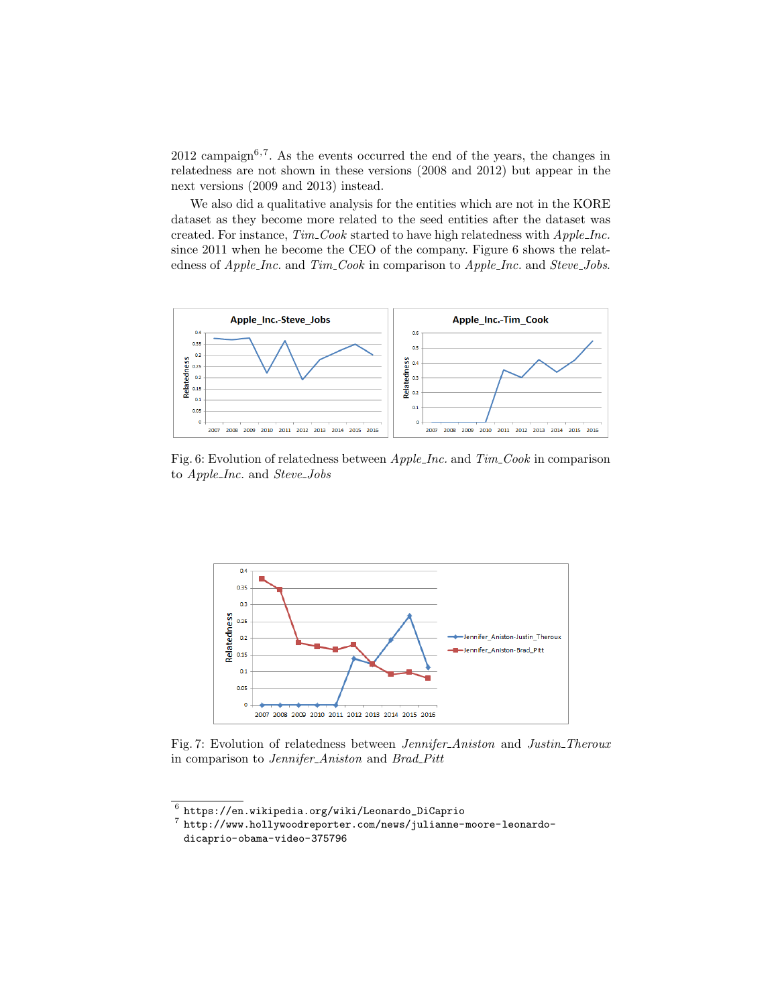$2012$  campaign<sup>6,7</sup>. As the events occurred the end of the years, the changes in relatedness are not shown in these versions (2008 and 2012) but appear in the next versions (2009 and 2013) instead.

We also did a qualitative analysis for the entities which are not in the KORE dataset as they become more related to the seed entities after the dataset was created. For instance,  $Tim\_Cook$  started to have high relatedness with  $Apple\_Inc$ . since 2011 when he become the CEO of the company. Figure 6 shows the relatedness of Apple\_Inc. and Tim\_Cook in comparison to Apple\_Inc. and Steve\_Jobs.



Fig. 6: Evolution of relatedness between *Apple\_Inc.* and *Tim\_Cook* in comparison to *Apple\_Inc.* and *Steve\_Jobs* 



Fig. 7: Evolution of relatedness between Jennifer\_Aniston and Justin\_Theroux in comparison to Jennifer\_Aniston and Brad\_Pitt

 $^6$  https://en.wikipedia.org/wiki/Leonardo\_DiCaprio

 $^7$  http://www.hollywoodreporter.com/news/julianne-moore-leonardodicaprio-obama-video-375796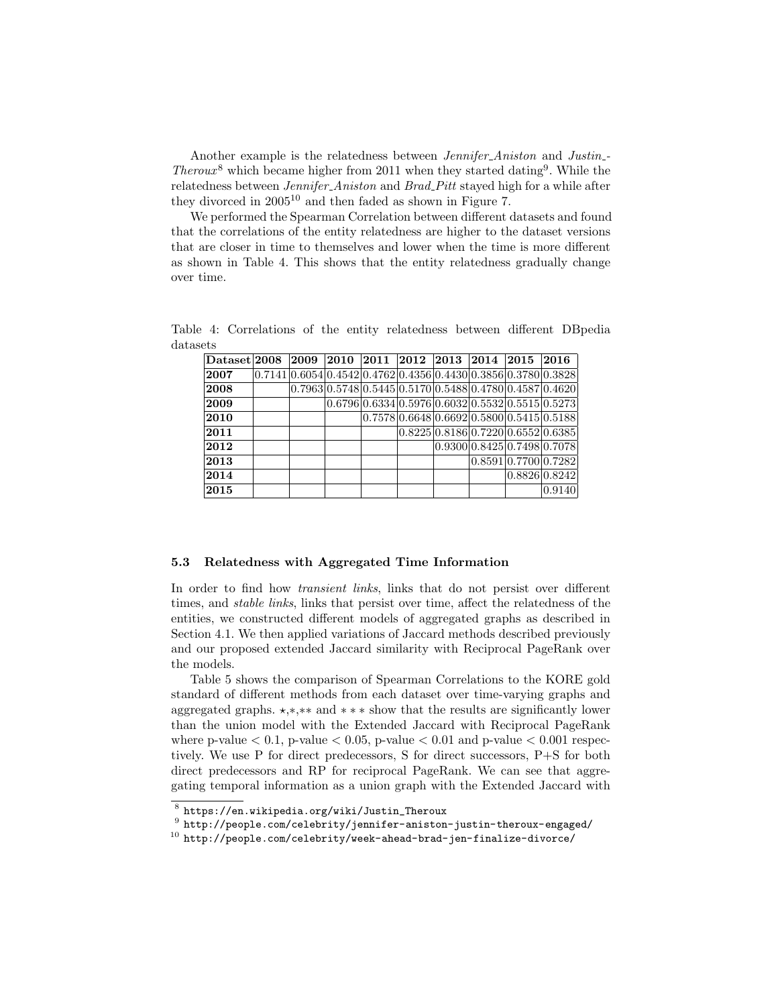Another example is the relatedness between Jennifer\_Aniston and Justin\_- $The row <sup>8</sup>$  which became higher from 2011 when they started dating<sup>9</sup>. While the relatedness between *Jennifer\_Aniston* and *Brad\_Pitt* stayed high for a while after they divorced in  $2005^{10}$  and then faded as shown in Figure 7.

We performed the Spearman Correlation between different datasets and found that the correlations of the entity relatedness are higher to the dataset versions that are closer in time to themselves and lower when the time is more different as shown in Table 4. This shows that the entity relatedness gradually change over time.

| $\text{Database}$   2008 |                                                                    | $2009$ 2010 2011 2012 2013 2014 2015 2016 |                                                            |  |  |                                               |        |
|--------------------------|--------------------------------------------------------------------|-------------------------------------------|------------------------------------------------------------|--|--|-----------------------------------------------|--------|
| 2007                     | $ 0.7141 0.6054 0.4542 0.4762 0.4356 0.4430 0.3856 0.3780 0.3828 $ |                                           |                                                            |  |  |                                               |        |
| 2008                     |                                                                    |                                           | $[0.7963]0.5748]0.5445[0.5170]0.5488]0.4780[0.4587]0.4620$ |  |  |                                               |        |
| 2009                     |                                                                    |                                           | $ 0.6796 0.6334 0.5976 0.6032 0.5532 0.5515 0.5273 $       |  |  |                                               |        |
| 2010                     |                                                                    |                                           |                                                            |  |  | $ 0.7578 0.6648 0.6692 0.5800 0.5415 0.5188 $ |        |
| 2011                     |                                                                    |                                           |                                                            |  |  | 0.8225 0.8186 0.7220 0.6552 0.6385            |        |
| 2012                     |                                                                    |                                           |                                                            |  |  | 0.9300 0.8425 0.7498 0.7078                   |        |
| 2013                     |                                                                    |                                           |                                                            |  |  | 0.8591 0.7700 0.7282                          |        |
| 2014                     |                                                                    |                                           |                                                            |  |  | 0.8826 0.8242                                 |        |
| 2015                     |                                                                    |                                           |                                                            |  |  |                                               | 0.9140 |

Table 4: Correlations of the entity relatedness between different DBpedia datasets

#### 5.3 Relatedness with Aggregated Time Information

In order to find how transient links, links that do not persist over different times, and stable links, links that persist over time, affect the relatedness of the entities, we constructed different models of aggregated graphs as described in Section 4.1. We then applied variations of Jaccard methods described previously and our proposed extended Jaccard similarity with Reciprocal PageRank over the models.

Table 5 shows the comparison of Spearman Correlations to the KORE gold standard of different methods from each dataset over time-varying graphs and aggregated graphs.  $\star$ , $\star$ , $\star \star$  and  $\star \star \star$  show that the results are significantly lower than the union model with the Extended Jaccard with Reciprocal PageRank where p-value  $< 0.1$ , p-value  $< 0.05$ , p-value  $< 0.01$  and p-value  $< 0.001$  respectively. We use P for direct predecessors, S for direct successors, P+S for both direct predecessors and RP for reciprocal PageRank. We can see that aggregating temporal information as a union graph with the Extended Jaccard with

 $^8$  https://en.wikipedia.org/wiki/Justin\_Theroux

 $^9$  http://people.com/celebrity/jennifer-aniston-justin-theroux-engaged/

 $10$  http://people.com/celebrity/week-ahead-brad-jen-finalize-divorce/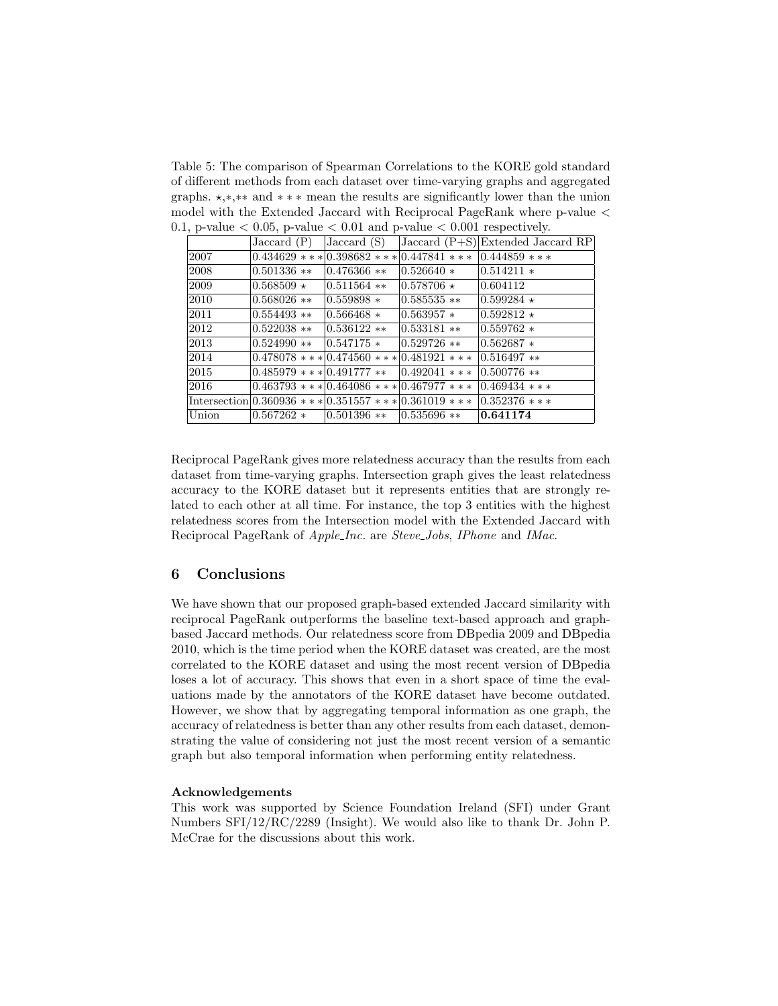Table 5: The comparison of Spearman Correlations to the KORE gold standard of different methods from each dataset over time-varying graphs and aggregated graphs. ?,∗,∗∗ and ∗ ∗ ∗ mean the results are significantly lower than the union model with the Extended Jaccard with Reciprocal PageRank where p-value < 0.1, p-value  $< 0.05$ , p-value  $< 0.01$  and p-value  $< 0.001$  respectively.

|       | Jaccard $(P)$ |                |                                                                             | $ Jaccard(S)$ $ Jaccard(P+S) Extended Jaccard RP $ |
|-------|---------------|----------------|-----------------------------------------------------------------------------|----------------------------------------------------|
| 2007  |               |                | $0.434629$ *** $ 0.398682$ *** $ 0.447841$ *** $ 0.444859$ ***              |                                                    |
| 2008  | $0.501336$ ** | $0.476366$ **  | $0.526640*$                                                                 | $ 0.514211 *$                                      |
| 2009  | $10.568509 *$ | $ 0.511564** $ | $0.578706 \star$                                                            | $ 0.604112\rangle$                                 |
| 2010  | $0.568026$ ** | $ 0.559898*$   | $ 0.585535** $                                                              | $ 0.599284 \star$                                  |
| 2011  | $0.554493**$  | $0.566468$ *   | $0.563957*$                                                                 | $ 0.592812 \star$                                  |
| 2012  | $0.522038$ ** | $0.536122**$   | $0.533181**$                                                                | $ 0.559762*$                                       |
| 2013  | $0.524990**$  | $0.547175*$    | $0.529726$ **                                                               | $ 0.562687 *$                                      |
| 2014  |               |                | $ 0.478078*** 0.474560*** 0.481921*** 0.516497** $                          |                                                    |
| 2015  |               |                | $0.485979$ *** $ 0.491777$ ** $ 0.492041$ *** $ 0.500776$ **                |                                                    |
| 2016  |               |                | $0.463793$ *** $ 0.464086$ *** $ 0.467977$ *** $ 0.469434$ ***              |                                                    |
|       |               |                | Intersection $0.360936$ *** $ 0.351557$ *** $ 0.361019$ *** $ 0.352376$ *** |                                                    |
| Union |               |                | $ 0.567262 *  0.501396 **  0.535696 **$                                     | 0.641174                                           |

Reciprocal PageRank gives more relatedness accuracy than the results from each dataset from time-varying graphs. Intersection graph gives the least relatedness accuracy to the KORE dataset but it represents entities that are strongly related to each other at all time. For instance, the top 3 entities with the highest relatedness scores from the Intersection model with the Extended Jaccard with Reciprocal PageRank of Apple\_Inc. are Steve\_Jobs, IPhone and IMac.

# 6 Conclusions

We have shown that our proposed graph-based extended Jaccard similarity with reciprocal PageRank outperforms the baseline text-based approach and graphbased Jaccard methods. Our relatedness score from DBpedia 2009 and DBpedia 2010, which is the time period when the KORE dataset was created, are the most correlated to the KORE dataset and using the most recent version of DBpedia loses a lot of accuracy. This shows that even in a short space of time the evaluations made by the annotators of the KORE dataset have become outdated. However, we show that by aggregating temporal information as one graph, the accuracy of relatedness is better than any other results from each dataset, demonstrating the value of considering not just the most recent version of a semantic graph but also temporal information when performing entity relatedness.

#### Acknowledgements

This work was supported by Science Foundation Ireland (SFI) under Grant Numbers SFI/12/RC/2289 (Insight). We would also like to thank Dr. John P. McCrae for the discussions about this work.